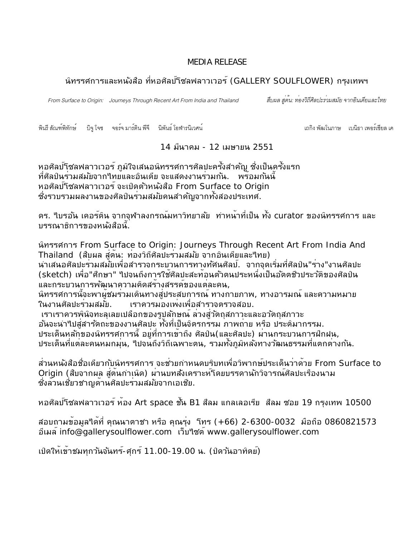## MEDIA RELEASE

# ้นิทรรศการและหนังสือ ที่หอศิลป์โซลฟลาวเวอร์ (GALLERY SOULFLOWER) กรุงเทพฯ

From Surface to Origin: Journeys Through Recent Art From India and Thailand

วิถีศิลปะร*่*วมสมัย จากอินเดียและไทย

พินรี สัณฑ์พิทักษ์ บิจุ โจซ จอร์จ มาร์ติน พีจี นิพันธ์ โอฬารนิเวศน์

เถกิง พัฒโนภาษ เบนิธา เพคร<sup>์</sup>เซียล เค

14 มีนาคม - 12 เมษายน 2551

ี หอศิลป์โชลฟลาวเวอร์ ภูมิใจเสนอนิทรรศการศิลปะครั้งสำค*ั*ญ ซึ่งเป็นครั้งแรก ที่ศิลป์นร่วมสม*ั*บจากใทยและอินเดีย จะแสดงงานร่วมก*ั*น. พร*้*อมก*ั*นนี้ หอศัลบ์โซลฟลาวเวอร์ จะเปิดตัวหนังสือ From Surface to Origin ซึ่งรวบรวมผลงานของศิลปินรวมสมัยคนสำคัญจากทั้งสองประเทศ.

. 3#& /#7
) '-"'7!')'& (!6'\*5/4 &6 curator -#)' 0% บรรณาธิการของหนังสือนี.

)' From Surface to Origin: Journeys Through Recent Art From India And Thailand (สืบผล สู่ต<sup>ั</sup>น: ท่องวิถีศิลปะร่วมสม*ั*บ จากอินเดียและใทย)

้นำเสนอศิลปะรวมสมัยเพื่อสำรวจกระบวนการทางทัศนศิลป์. จากจุดเริ่มที่ศิลป์น"ราง"งานศิลปะ (sketch) เพื่อ"ศึกษา" ใปจนถึงการใชศัลปะสะทอนตัวตนประหนึ่งเป็นอัตตชั่วประวัติของศัลป์น และกระบวนการพัฒนาความคิดสรางสรรค๎ของแตละคน,

นิทรรศการนี้จะพาผู้ชมร่วมเดินทางสู่ประสบการณ์ ทางกายภาพ, ทางอารมณ์ และความหมาย ในงานศิลปะรวมสมัย. เราควรมองเพงเพื่อสารวจตรวจสอบ.

เราเราควรพินิจทะลุเลยเปลือกของรูปลักษณ์ ลวงสูวัตถุสภาวะและอวัตถุสภาวะ อันจะนำใปสู่สารัตถะของงานศัลปะ ทั้งที่เป็นจิตรกรรม ภาพถาย หรือ ประติมากรรม. ประเด็นหลักของนิทรรศการนี้ อยูที่การเขาถึง ศัลปิน(และศัลปะ) ผานกระบวนการฝึกฝน, ประเด็นที่แตละคนหมกมุน, ใปจนถึงวิถีเฉพาะตน, รวมทั้งภูมิหลังทางวัฒนธรรมที่แตกตางกัน.

้ส่วนหนังสือชื่อเดียวกับนิทรรศการ จะช่วยกำหนดบริบทเพื่อวิพากษ<sup>ั</sup>ประเด็นว่าด<sup>้</sup>วย From Surface to Origin (สืบจากผล สู่ต<sup>ุ</sup>้นกำเนิด) ผ่านบทส*ั*งเคราะห*์*โดยบรรดานักวิจารณ์ศิลปะเรื่องนาม ชั่งลวนเชี่ยวชาญดานศิลปะรวมสมัยจากเอเชีย.

หอศิลป์โซลฟลาวเวอร์ ห<sup>ั</sup>อง Art space ชั้น B1 สีลม แกลเลอเรีย สีลม ซอย 19 กรุงเทพ 10500

สอบถามขอมูลใดที่ คุณนาตาชา หรือ คุณรุง โทร (+66) 2-6300-0032 มือถือ 0860821573 อีเมล์ info@gallerysoulflower.com เว็บใชต์ www.gallerysoulflower.com

เปิดใหเขาชมทุกวันจันทร์-ศุกร์ 11.00-19.00 น. (ปิดวันอาทิตย์) \_